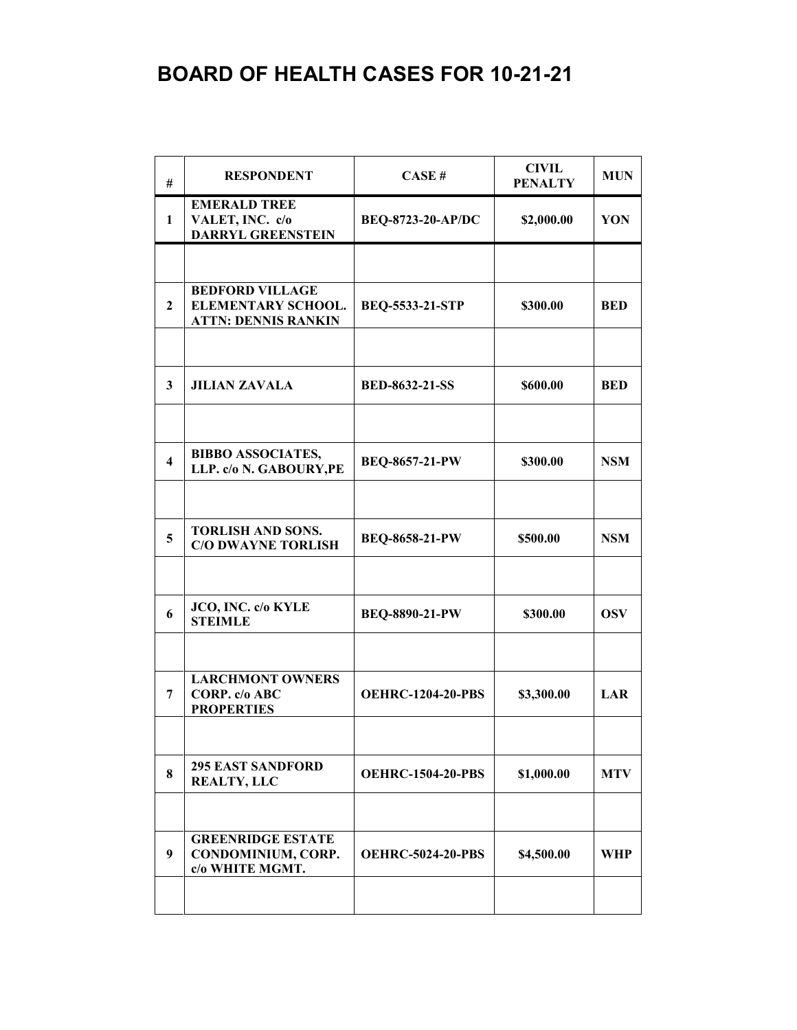| #                       | <b>RESPONDENT</b>                                                          | CASE#                    | <b>CIVIL</b><br><b>PENALTY</b> | <b>MUN</b> |
|-------------------------|----------------------------------------------------------------------------|--------------------------|--------------------------------|------------|
| 1                       | <b>EMERALD TREE</b><br>VALET, INC. c/o<br><b>DARRYL GREENSTEIN</b>         | <b>BEQ-8723-20-AP/DC</b> | \$2,000.00                     | YON        |
|                         |                                                                            |                          |                                |            |
| $\mathbf{2}$            | <b>BEDFORD VILLAGE</b><br>ELEMENTARY SCHOOL.<br><b>ATTN: DENNIS RANKIN</b> | <b>BEQ-5533-21-STP</b>   | \$300.00                       | <b>BED</b> |
|                         |                                                                            |                          |                                |            |
| 3                       | <b>JILIAN ZAVALA</b>                                                       | <b>BED-8632-21-SS</b>    | \$600.00                       | <b>BED</b> |
|                         |                                                                            |                          |                                |            |
| $\overline{\mathbf{4}}$ | <b>BIBBO ASSOCIATES,</b><br>LLP. c/o N. GABOURY, PE                        | <b>BEQ-8657-21-PW</b>    | \$300.00                       | <b>NSM</b> |
|                         |                                                                            |                          |                                |            |
| 5                       | <b>TORLISH AND SONS.</b><br><b>C/O DWAYNE TORLISH</b>                      | <b>BEQ-8658-21-PW</b>    | \$500.00                       | <b>NSM</b> |
|                         |                                                                            |                          |                                |            |
| 6                       | JCO, INC. c/o KYLE<br><b>STEIMLE</b>                                       | BEQ-8890-21-PW           | \$300.00                       | <b>OSV</b> |
|                         |                                                                            |                          |                                |            |
| 7                       | <b>LARCHMONT OWNERS</b><br>CORP. c/o ABC<br><b>PROPERTIES</b>              | <b>OEHRC-1204-20-PBS</b> | \$3,300.00                     | LAR        |
|                         |                                                                            |                          |                                |            |
| 8                       | <b>295 EAST SANDFORD</b><br><b>REALTY, LLC</b>                             | <b>OEHRC-1504-20-PBS</b> | \$1,000.00                     | <b>MTV</b> |
|                         |                                                                            |                          |                                |            |
| 9                       | <b>GREENRIDGE ESTATE</b><br>CONDOMINIUM, CORP.<br>c/o WHITE MGMT.          | <b>OEHRC-5024-20-PBS</b> | \$4,500.00                     | WHP        |
|                         |                                                                            |                          |                                |            |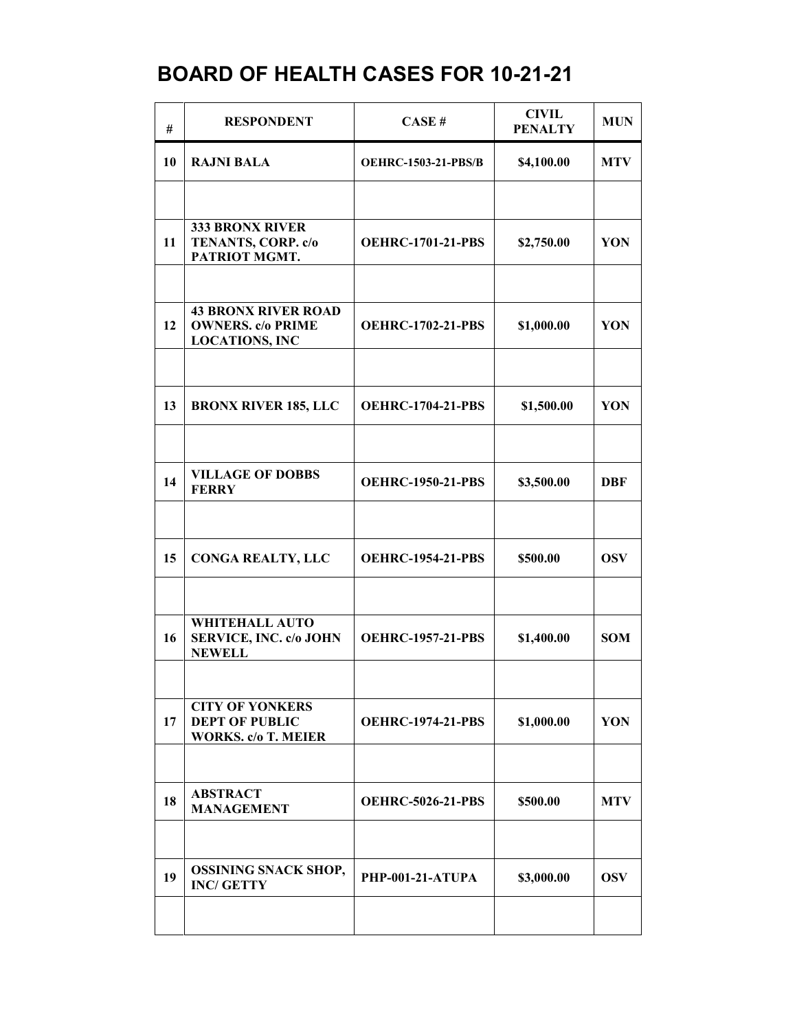| #  | <b>RESPONDENT</b>                                                             | CASE#                      | <b>CIVIL</b><br><b>PENALTY</b> | <b>MUN</b> |
|----|-------------------------------------------------------------------------------|----------------------------|--------------------------------|------------|
| 10 | <b>RAJNI BALA</b>                                                             | <b>OEHRC-1503-21-PBS/B</b> | \$4,100.00                     | <b>MTV</b> |
|    |                                                                               |                            |                                |            |
| 11 | 333 BRONX RIVER<br>TENANTS, CORP. c/o<br>PATRIOT MGMT.                        | <b>OEHRC-1701-21-PBS</b>   | \$2,750.00                     | YON        |
|    | <b>43 BRONX RIVER ROAD</b>                                                    |                            |                                |            |
| 12 | <b>OWNERS.</b> c/o PRIME<br><b>LOCATIONS, INC</b>                             | <b>OEHRC-1702-21-PBS</b>   | \$1,000.00                     | YON        |
|    |                                                                               |                            |                                |            |
| 13 | <b>BRONX RIVER 185, LLC</b>                                                   | <b>OEHRC-1704-21-PBS</b>   | \$1,500.00                     | YON        |
|    |                                                                               |                            |                                |            |
| 14 | <b>VILLAGE OF DOBBS</b><br><b>FERRY</b>                                       | <b>OEHRC-1950-21-PBS</b>   | \$3,500.00                     | <b>DBF</b> |
|    |                                                                               |                            |                                |            |
| 15 | <b>CONGA REALTY, LLC</b>                                                      | <b>OEHRC-1954-21-PBS</b>   | \$500.00                       | <b>OSV</b> |
|    |                                                                               |                            |                                |            |
| 16 | <b>WHITEHALL AUTO</b><br><b>SERVICE, INC. c/o JOHN</b><br><b>NEWELL</b>       | <b>OEHRC-1957-21-PBS</b>   | \$1,400.00                     | <b>SOM</b> |
|    |                                                                               |                            |                                |            |
| 17 | <b>CITY OF YONKERS</b><br><b>DEPT OF PUBLIC</b><br><b>WORKS.</b> c/o T. MEIER | <b>OEHRC-1974-21-PBS</b>   | \$1,000.00                     | YON        |
|    |                                                                               |                            |                                |            |
| 18 | <b>ABSTRACT</b><br><b>MANAGEMENT</b>                                          | <b>OEHRC-5026-21-PBS</b>   | \$500.00                       | <b>MTV</b> |
|    |                                                                               |                            |                                |            |
| 19 | <b>OSSINING SNACK SHOP,</b><br><b>INC/ GETTY</b>                              | PHP-001-21-ATUPA           | \$3,000.00                     | <b>OSV</b> |
|    |                                                                               |                            |                                |            |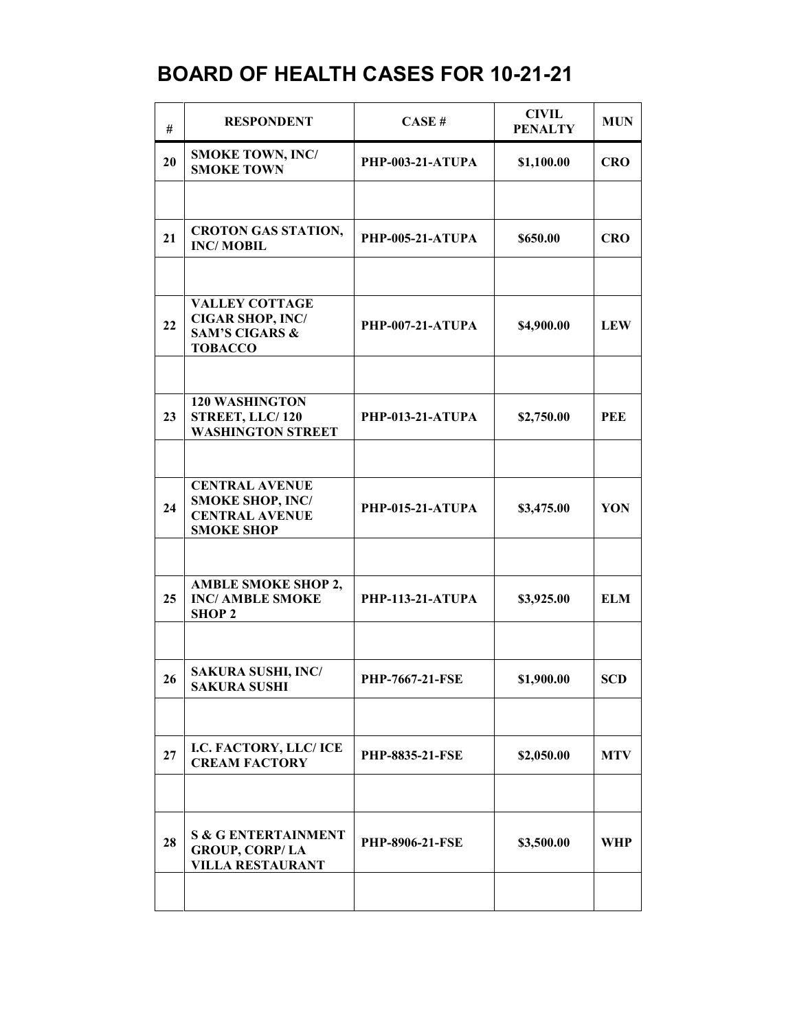| #  | <b>RESPONDENT</b>                                                                               | CASE#                   | <b>CIVIL</b><br><b>PENALTY</b> | <b>MUN</b> |
|----|-------------------------------------------------------------------------------------------------|-------------------------|--------------------------------|------------|
| 20 | <b>SMOKE TOWN, INC/</b><br><b>SMOKE TOWN</b>                                                    | PHP-003-21-ATUPA        | \$1,100.00                     | <b>CRO</b> |
|    |                                                                                                 |                         |                                |            |
| 21 | <b>CROTON GAS STATION,</b><br><b>INC/MOBIL</b>                                                  | PHP-005-21-ATUPA        | \$650.00                       | <b>CRO</b> |
|    |                                                                                                 |                         |                                |            |
| 22 | <b>VALLEY COTTAGE</b><br><b>CIGAR SHOP, INC/</b><br><b>SAM'S CIGARS &amp;</b><br><b>TOBACCO</b> | PHP-007-21-ATUPA        | \$4,900.00                     | <b>LEW</b> |
|    |                                                                                                 |                         |                                |            |
| 23 | <b>120 WASHINGTON</b><br>STREET, LLC/120<br><b>WASHINGTON STREET</b>                            | PHP-013-21-ATUPA        | \$2,750.00                     | <b>PEE</b> |
|    |                                                                                                 |                         |                                |            |
| 24 | <b>CENTRAL AVENUE</b><br><b>SMOKE SHOP, INC/</b><br><b>CENTRAL AVENUE</b><br><b>SMOKE SHOP</b>  | PHP-015-21-ATUPA        | \$3,475.00                     | YON        |
|    |                                                                                                 |                         |                                |            |
| 25 | <b>AMBLE SMOKE SHOP 2,</b><br><b>INC/ AMBLE SMOKE</b><br><b>SHOP 2</b>                          | <b>PHP-113-21-ATUPA</b> | \$3,925.00                     | <b>ELM</b> |
|    |                                                                                                 |                         |                                |            |
| 26 | <b>SAKURA SUSHI, INC/</b><br><b>SAKURA SUSHI</b>                                                | <b>PHP-7667-21-FSE</b>  | \$1,900.00                     | <b>SCD</b> |
|    |                                                                                                 |                         |                                |            |
| 27 | I.C. FACTORY, LLC/ ICE<br><b>CREAM FACTORY</b>                                                  | <b>PHP-8835-21-FSE</b>  | \$2,050.00                     | <b>MTV</b> |
|    |                                                                                                 |                         |                                |            |
| 28 | <b>S &amp; G ENTERTAINMENT</b><br><b>GROUP, CORP/LA</b><br><b>VILLA RESTAURANT</b>              | <b>PHP-8906-21-FSE</b>  | \$3,500.00                     | WHP        |
|    |                                                                                                 |                         |                                |            |